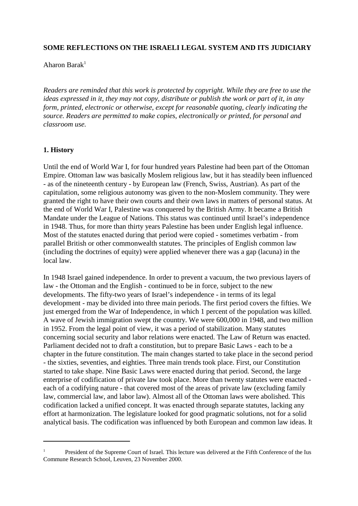### **SOME REFLECTIONS ON THE ISRAELI LEGAL SYSTEM AND ITS JUDICIARY**

Aharon Barak 1

*Readers are reminded that this work is protected by copyright. While they are free to use the* ideas expressed in it, they may not copy, distribute or publish the work or part of it, in any *form, printed, electronic or otherwise, except for reasonable quoting, clearly indicating the source. Readers are permitted to make copies, electronically or printed, for personal and classroom use.*

#### **1. History**

Until the end of World War I, for four hundred years Palestine had been part of the Ottoman Empire. Ottoman law was basically Moslem religious law, but it has steadily been influenced - as of the nineteenth century - by European law (French, Swiss, Austrian). As part of the capitulation, some religious autonomy was given to the non-Moslem community. They were granted the right to have their own courts and their own laws in matters of personal status. At the end of World War I, Palestine was conquered by the British Army. It became a British Mandate under the League of Nations. This status was continued until Israel's independence in 1948. Thus, for more than thirty years Palestine has been under English legal influence. Most of the statutes enacted during that period were copied - sometimes verbatim - from parallel British or other commonwealth statutes. The principles of English common law (including the doctrines of equity) were applied whenever there was a gap (lacuna) in the local law.

In 1948 Israel gained independence. In order to prevent a vacuum, the two previous layers of law - the Ottoman and the English - continued to be in force, subject to the new developments. The fifty-two years of Israel's independence - in terms of its legal development - may be divided into three main periods. The first period covers the fifties. We just emerged from the War of Independence, in which 1 percent of the population was killed. A wave of Jewish immigration swept the country. We were 600,000 in 1948, and two million in 1952. From the legal point of view, it was a period of stabilization. Many statutes concerning social security and labor relations were enacted. The Law of Return was enacted. Parliament decided not to draft a constitution, but to prepare Basic Laws - each to be a chapter in the future constitution. The main changes started to take place in the second period - the sixties, seventies, and eighties. Three main trends took place. First, our Constitution started to take shape. Nine Basic Laws were enacted during that period. Second, the large enterprise of codification of private law took place. More than twenty statutes were enacted each of a codifying nature - that covered most of the areas of private law (excluding family law, commercial law, and labor law). Almost all of the Ottoman laws were abolished. This codification lacked a unified concept. It was enacted through separate statutes, lacking any effort at harmonization. The legislature looked for good pragmatic solutions, not for a solid analytical basis. The codification was influenced by both European and common law ideas. It

<sup>&</sup>lt;sup>1</sup> President of the Supreme Court of Israel. This lecture was delivered at the Fifth Conference of the Ius Commune Research School, Leuven, 23 November 2000.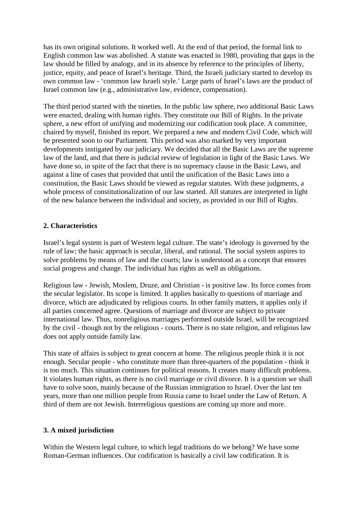has its own original solutions. It worked well. At the end of that period, the formal link to English common law was abolished. A statute was enacted in 1980, providing that gaps in the law should be filled by analogy, and in its absence by reference to the principles of liberty, justice, equity, and peace of Israel's heritage. Third, the Israeli judiciary started to develop its own common law - 'common law Israeli style.' Large parts of Israel's laws are the product of Israel common law (e.g., administrative law, evidence, compensation).

The third period started with the nineties. In the public law sphere, two additional Basic Laws were enacted, dealing with human rights. They constitute our Bill of Rights. In the private sphere, a new effort of unifying and modernizing our codification took place. A committee, chaired by myself, finished its report. We prepared a new and modern Civil Code, which will be presented soon to our Parliament. This period was also marked by very important developments instigated by our judiciary. We decided that all the Basic Laws are the supreme law of the land, and that there is judicial review of legislation in light of the Basic Laws. We have done so, in spite of the fact that there is no supremacy clause in the Basic Laws, and against a line of cases that provided that until the unification of the Basic Laws into a constitution, the Basic Laws should be viewed as regular statutes. With these judgments, a whole process of constitutionalization of our law started. All statutes are interpreted in light of the new balance between the individual and society, as provided in our Bill of Rights.

## **2. Characteristics**

Israel's legal system is part of Western legal culture. The state's ideology is governed by the rule of law; the basic approach is secular, liberal, and rational. The social system aspires to solve problems by means of law and the courts; law is understood as a concept that ensures social progress and change. The individual has rights as well as obligations.

Religious law - Jewish, Moslem, Druze, and Christian - is positive law. Its force comes from the secular legislator. Its scope is limited. It applies basically to questions of marriage and divorce, which are adjudicated by religious courts. In other family matters, it applies only if all parties concerned agree. Questions of marriage and divorce are subject to private international law. Thus, nonreligious marriages performed outside Israel, will be recognized by the civil - though not by the religious - courts. There is no state religion, and religious law does not apply outside family law.

This state of affairs is subject to great concern at home. The religious people think it is not enough. Secular people - who constitute more than three-quarters of the population - think it is too much. This situation continues for political reasons. It creates many difficult problems. It violates human rights, as there is no civil marriage or civil divorce. It is a question we shall have to solve soon, mainly because of the Russian immigration to Israel. Over the last ten years, more than one million people from Russia came to Israel under the Law of Return. A third of them are not Jewish. Interreligious questions are coming up more and more.

## **3. A mixed jurisdiction**

Within the Western legal culture, to which legal traditions do we belong? We have some Roman-German influences. Our codification is basically a civil law codification. It is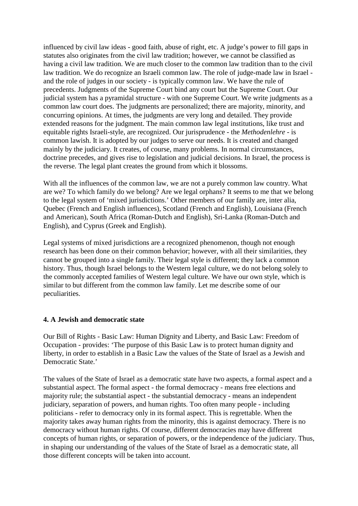influenced by civil law ideas - good faith, abuse of right, etc. A judge's power to fill gaps in statutes also originates from the civil law tradition; however, we cannot be classified as having a civil law tradition. We are much closer to the common law tradition than to the civil law tradition. We do recognize an Israeli common law. The role of judge-made law in Israel and the role of judges in our society - is typically common law. We have the rule of precedents. Judgments of the Supreme Court bind any court but the Supreme Court. Our judicial system has a pyramidal structure - with one Supreme Court. We write judgments as a common law court does. The judgments are personalized; there are majority, minority, and concurring opinions. At times, the judgments are very long and detailed. They provide extended reasons for the judgment. The main common law legal institutions, like trust and equitable rights Israeli-style, are recognized. Our jurisprudence - the *Methodenlehre* - is common lawish. It is adopted by our judges to serve our needs. It is created and changed mainly by the judiciary. It creates, of course, many problems. In normal circumstances, doctrine precedes, and gives rise to legislation and judicial decisions. In Israel, the process is the reverse. The legal plant creates the ground from which it blossoms.

With all the influences of the common law, we are not a purely common law country. What are we? To which family do we belong? Are we legal orphans? It seems to me that we belong to the legal system of 'mixed jurisdictions.' Other members of our family are, inter alia, Quebec (French and English influences), Scotland (French and English), Louisiana (French and American), South Africa (Roman-Dutch and English), Sri-Lanka (Roman-Dutch and English), and Cyprus (Greek and English).

Legal systems of mixed jurisdictions are a recognized phenomenon, though not enough research has been done on their common behavior; however, with all their similarities, they cannot be grouped into a single family. Their legal style is different; they lack a common history. Thus, though Israel belongs to the Western legal culture, we do not belong solely to the commonly accepted families of Western legal culture. We have our own style, which is similar to but different from the common law family. Let me describe some of our peculiarities.

#### **4. A Jewish and democratic state**

Our Bill of Rights - Basic Law: Human Dignity and Liberty, and Basic Law: Freedom of Occupation - provides: 'The purpose of this Basic Law is to protect human dignity and liberty, in order to establish in a Basic Law the values of the State of Israel as a Jewish and Democratic State<sup>'</sup>

The values of the State of Israel as a democratic state have two aspects, a formal aspect and a substantial aspect. The formal aspect - the formal democracy - means free elections and majority rule; the substantial aspect - the substantial democracy - means an independent judiciary, separation of powers, and human rights. Too often many people - including politicians - refer to democracy only in its formal aspect. This is regrettable. When the majority takes away human rights from the minority, this is against democracy. There is no democracy without human rights. Of course, different democracies may have different concepts of human rights, or separation of powers, or the independence of the judiciary. Thus, in shaping our understanding of the values of the State of Israel as a democratic state, all those different concepts will be taken into account.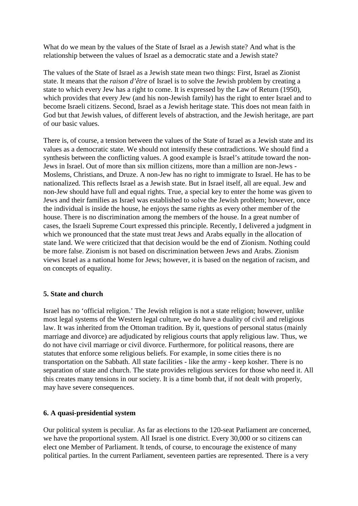What do we mean by the values of the State of Israel as a Jewish state? And what is the relationship between the values of Israel as a democratic state and a Jewish state?

The values of the State of Israel as a Jewish state mean two things: First, Israel as Zionist state. It means that the *raison d'être* of Israel is to solve the Jewish problem by creating a state to which every Jew has a right to come. It is expressed by the Law of Return (1950), which provides that every Jew (and his non-Jewish family) has the right to enter Israel and to become Israeli citizens. Second, Israel as a Jewish heritage state. This does not mean faith in God but that Jewish values, of different levels of abstraction, and the Jewish heritage, are part of our basic values.

There is, of course, a tension between the values of the State of Israel as a Jewish state and its values as a democratic state. We should not intensify these contradictions. We should find a synthesis between the conflicting values. A good example is Israel's attitude toward the non-Jews in Israel. Out of more than six million citizens, more than a million are non-Jews - Moslems, Christians, and Druze. A non-Jew has no right to immigrate to Israel. He has to be nationalized. This reflects Israel as a Jewish state. But in Israel itself, all are equal. Jew and non-Jew should have full and equal rights. True, a special key to enter the home was given to Jews and their families as Israel was established to solve the Jewish problem; however, once the individual is inside the house, he enjoys the same rights as every other member of the house. There is no discrimination among the members of the house. In a great number of cases, the Israeli Supreme Court expressed this principle. Recently, I delivered a judgment in which we pronounced that the state must treat Jews and Arabs equally in the allocation of state land. We were criticized that that decision would be the end of Zionism. Nothing could be more false. Zionism is not based on discrimination between Jews and Arabs. Zionism views Israel as a national home for Jews; however, it is based on the negation of racism, and on concepts of equality.

## **5. State and church**

Israel has no 'official religion.' The Jewish religion is not a state religion; however, unlike most legal systems of the Western legal culture, we do have a duality of civil and religious law. It was inherited from the Ottoman tradition. By it, questions of personal status (mainly marriage and divorce) are adjudicated by religious courts that apply religious law. Thus, we do not have civil marriage or civil divorce. Furthermore, for political reasons, there are statutes that enforce some religious beliefs. For example, in some cities there is no transportation on the Sabbath. All state facilities - like the army - keep kosher. There is no separation of state and church. The state provides religious services for those who need it. All this creates many tensions in our society. It is a time bomb that, if not dealt with properly, may have severe consequences.

#### **6. A quasi-presidential system**

Our political system is peculiar. As far as elections to the 120-seat Parliament are concerned, we have the proportional system. All Israel is one district. Every 30,000 or so citizens can elect one Member of Parliament. It tends, of course, to encourage the existence of many political parties. In the current Parliament, seventeen parties are represented. There is a very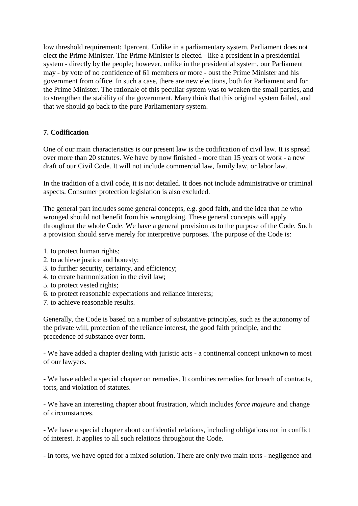low threshold requirement: 1percent. Unlike in a parliamentary system, Parliament does not elect the Prime Minister. The Prime Minister is elected - like a president in a presidential system - directly by the people; however, unlike in the presidential system, our Parliament may - by vote of no confidence of 61 members or more - oust the Prime Minister and his government from office. In such a case, there are new elections, both for Parliament and for the Prime Minister. The rationale of this peculiar system was to weaken the small parties, and to strengthen the stability of the government. Many think that this original system failed, and that we should go back to the pure Parliamentary system.

# **7. Codification**

One of our main characteristics is our present law is the codification of civil law. It is spread over more than 20 statutes. We have by now finished - more than 15 years of work - a new draft of our Civil Code. It will not include commercial law, family law, or labor law.

In the tradition of a civil code, it is not detailed. It does not include administrative or criminal aspects. Consumer protection legislation is also excluded.

The general part includes some general concepts, e.g. good faith, and the idea that he who wronged should not benefit from his wrongdoing. These general concepts will apply throughout the whole Code. We have a general provision as to the purpose of the Code. Such a provision should serve merely for interpretive purposes. The purpose of the Code is:

- 1. to protect human rights;
- 2. to achieve justice and honesty;
- 3. to further security, certainty, and efficiency;
- 4. to create harmonization in the civil law;
- 5. to protect vested rights;
- 6. to protect reasonable expectations and reliance interests;
- 7. to achieve reasonable results.

Generally, the Code is based on a number of substantive principles, such as the autonomy of the private will, protection of the reliance interest, the good faith principle, and the precedence of substance over form.

- We have added a chapter dealing with juristic acts - a continental concept unknown to most of our lawyers.

- We have added a special chapter on remedies. It combines remedies for breach of contracts, torts, and violation of statutes.

- We have an interesting chapter about frustration, which includes *force majeure* and change of circumstances.

- We have a special chapter about confidential relations, including obligations not in conflict of interest. It applies to all such relations throughout the Code.

- In torts, we have opted for a mixed solution. There are only two main torts - negligence and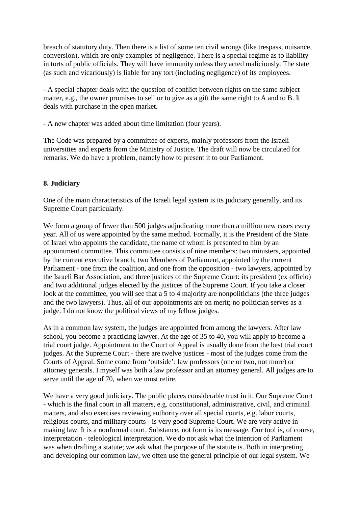breach of statutory duty. Then there is a list of some ten civil wrongs (like trespass, nuisance, conversion), which are only examples of negligence. There is a special regime as to liability in torts of public officials. They will have immunity unless they acted maliciously. The state (as such and vicariously) is liable for any tort (including negligence) of its employees.

- A special chapter deals with the question of conflict between rights on the same subject matter, e.g., the owner promises to sell or to give as a gift the same right to A and to B. It deals with purchase in the open market.

- A new chapter was added about time limitation (four years).

The Code was prepared by a committee of experts, mainly professors from the Israeli universities and experts from the Ministry of Justice. The draft will now be circulated for remarks. We do have a problem, namely how to present it to our Parliament.

# **8. Judiciary**

One of the main characteristics of the Israeli legal system is its judiciary generally, and its Supreme Court particularly.

We form a group of fewer than 500 judges adjudicating more than a million new cases every year. All of us were appointed by the same method. Formally, it is the President of the State of Israel who appoints the candidate, the name of whom is presented to him by an appointment committee. This committee consists of nine members: two ministers, appointed by the current executive branch, two Members of Parliament, appointed by the current Parliament - one from the coalition, and one from the opposition - two lawyers, appointed by the Israeli Bar Association, and three justices of the Supreme Court: its president (ex officio) and two additional judges elected by the justices of the Supreme Court. If you take a closer look at the committee, you will see that a 5 to 4 majority are nonpoliticians (the three judges and the two lawyers). Thus, all of our appointments are on merit; no politician serves as a judge. I do not know the political views of my fellow judges.

As in a common law system, the judges are appointed from among the lawyers. After law school, you become a practicing lawyer. At the age of 35 to 40, you will apply to become a trial court judge. Appointment to the Court of Appeal is usually done from the best trial court judges. At the Supreme Court - there are twelve justices - most of the judges come from the Courts of Appeal. Some come from 'outside': law professors (one or two, not more) or attorney generals. I myself was both a law professor and an attorney general. All judges are to serve until the age of 70, when we must retire.

We have a very good judiciary. The public places considerable trust in it. Our Supreme Court - which is the final court in all matters, e.g. constitutional, administrative, civil, and criminal matters, and also exercises reviewing authority over all special courts, e.g. labor courts, religious courts, and military courts - is very good Supreme Court. We are very active in making law. It is a nonformal court. Substance, not form is its message. Our tool is, of course, interpretation - teleological interpretation. We do not ask what the intention of Parliament was when drafting a statute; we ask what the purpose of the statute is. Both in interpreting and developing our common law, we often use the general principle of our legal system. We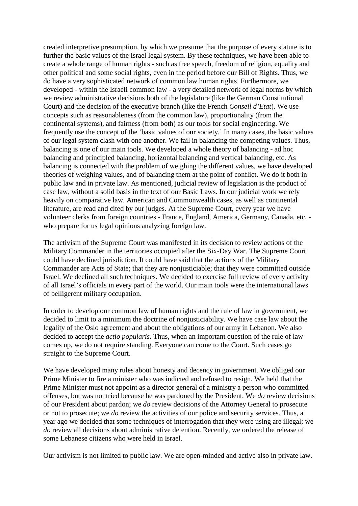created interpretive presumption, by which we presume that the purpose of every statute is to further the basic values of the Israel legal system. By these techniques, we have been able to create a whole range of human rights - such as free speech, freedom of religion, equality and other political and some social rights, even in the period before our Bill of Rights. Thus, we do have a very sophisticated network of common law human rights. Furthermore, we developed - within the Israeli common law - a very detailed network of legal norms by which we review administrative decisions both of the legislature (like the German Constitutional Court) and the decision of the executive branch (like the French *Conseil d'Etat*). We use concepts such as reasonableness (from the common law), proportionality (from the continental systems), and fairness (from both) as our tools for social engineering. We frequently use the concept of the 'basic values of our society.' In many cases, the basic values of our legal system clash with one another. We fail in balancing the competing values. Thus, balancing is one of our main tools. We developed a whole theory of balancing - ad hoc balancing and principled balancing, horizontal balancing and vertical balancing, etc. As balancing is connected with the problem of weighing the different values, we have developed theories of weighing values, and of balancing them at the point of conflict. We do it both in public law and in private law. As mentioned, judicial review of legislation is the product of case law, without a solid basis in the text of our Basic Laws. In our judicial work we rely heavily on comparative law. American and Commonwealth cases, as well as continental literature, are read and cited by our judges. At the Supreme Court, every year we have volunteer clerks from foreign countries - France, England, America, Germany, Canada, etc. who prepare for us legal opinions analyzing foreign law.

The activism of the Supreme Court was manifested in its decision to review actions of the Military Commander in the territories occupied after the Six-Day War. The Supreme Court could have declined jurisdiction. It could have said that the actions of the Military Commander are Acts of State; that they are nonjusticiable; that they were committed outside Israel. We declined all such techniques. We decided to exercise full review of every activity of all Israel's officials in every part of the world. Our main tools were the international laws of belligerent military occupation.

In order to develop our common law of human rights and the rule of law in government, we decided to limit to a minimum the doctrine of nonjusticiability. We have case law about the legality of the Oslo agreement and about the obligations of our army in Lebanon. We also decided to accept the *actio popularis*. Thus, when an important question of the rule of law comes up, we do not require standing. Everyone can come to the Court. Such cases go straight to the Supreme Court.

We have developed many rules about honesty and decency in government. We obliged our Prime Minister to fire a minister who was indicted and refused to resign. We held that the Prime Minister must not appoint as a director general of a ministry a person who committed offenses, but was not tried because he was pardoned by the President. We *do* review decisions of our President about pardon; we *do* review decisions of the Attorney General to prosecute or not to prosecute; we *do* review the activities of our police and security services. Thus, a year ago we decided that some techniques of interrogation that they were using are illegal; we *do* review all decisions about administrative detention. Recently, we ordered the release of some Lebanese citizens who were held in Israel.

Our activism is not limited to public law. We are open-minded and active also in private law.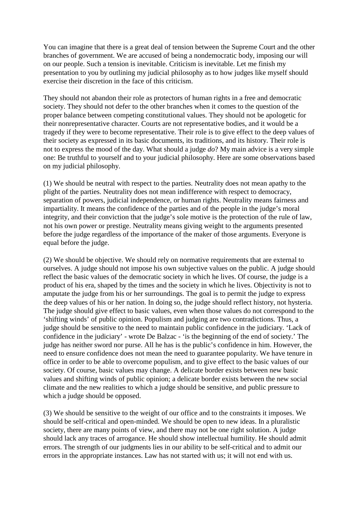You can imagine that there is a great deal of tension between the Supreme Court and the other branches of government. We are accused of being a nondemocratic body, imposing our will on our people. Such a tension is inevitable. Criticism is inevitable. Let me finish my presentation to you by outlining my judicial philosophy as to how judges like myself should exercise their discretion in the face of this criticism.

They should not abandon their role as protectors of human rights in a free and democratic society. They should not defer to the other branches when it comes to the question of the proper balance between competing constitutional values. They should not be apologetic for their nonrepresentative character. Courts are not representative bodies, and it would be a tragedy if they were to become representative. Their role is to give effect to the deep values of their society as expressed in its basic documents, its traditions, and its history. Their role is not to express the mood of the day. What should a judge *do*? My main advice is a very simple one: Be truthful to yourself and to your judicial philosophy. Here are some observations based on my judicial philosophy.

(1) We should be neutral with respect to the parties. Neutrality does not mean apathy to the plight of the parties. Neutrality does not mean indifference with respect to democracy, separation of powers, judicial independence, or human rights. Neutrality means fairness and impartiality. It means the confidence of the parties and of the people in the judge's moral integrity, and their conviction that the judge's sole motive is the protection of the rule of law, not his own power or prestige. Neutrality means giving weight to the arguments presented before the judge regardless of the importance of the maker of those arguments. Everyone is equal before the judge.

(2) We should be objective. We should rely on normative requirements that are external to ourselves. A judge should not impose his own subjective values on the public. A judge should reflect the basic values of the democratic society in which he lives. Of course, the judge is a product of his era, shaped by the times and the society in which he lives. Objectivity is not to amputate the judge from his or her surroundings. The goal is to permit the judge to express the deep values of his or her nation. In doing so, the judge should reflect history, not hysteria. The judge should give effect to basic values, even when those values do not correspond to the 'shifting winds' of public opinion. Populism and judging are two contradictions. Thus, a judge should be sensitive to the need to maintain public confidence in the judiciary. 'Lack of confidence in the judiciary' - wrote De Balzac - 'is the beginning of the end of society.' The judge has neither sword nor purse. All he has is the public's confidence in him. However, the need to ensure confidence does not mean the need to guarantee popularity. We have tenure in office in order to be able to overcome populism, and to give effect to the basic values of our society. Of course, basic values may change. A delicate border exists between new basic values and shifting winds of public opinion; a delicate border exists between the new social climate and the new realities to which a judge should be sensitive, and public pressure to which a judge should be opposed.

(3) We should be sensitive to the weight of our office and to the constraints it imposes. We should be self-critical and open-minded. We should be open to new ideas. In a pluralistic society, there are many points of view, and there may not be one right solution. A judge should lack any traces of arrogance. He should show intellectual humility. He should admit errors. The strength of our judgments lies in our ability to be self-critical and to admit our errors in the appropriate instances. Law has not started with us; it will not end with us.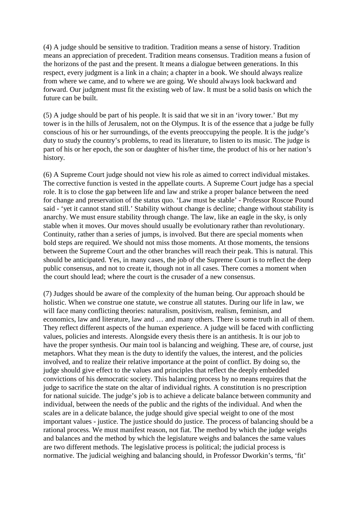(4) A judge should be sensitive to tradition. Tradition means a sense of history. Tradition means an appreciation of precedent. Tradition means consensus. Tradition means a fusion of the horizons of the past and the present. It means a dialogue between generations. In this respect, every judgment is a link in a chain; a chapter in a book. We should always realize from where we came, and to where we are going. We should always look backward and forward. Our judgment must fit the existing web of law. It must be a solid basis on which the future can be built.

(5) A judge should be part of his people. It is said that we sit in an 'ivory tower.' But my tower is in the hills of Jerusalem, not on the Olympus. It is of the essence that a judge be fully conscious of his or her surroundings, of the events preoccupying the people. It is the judge's duty to study the country's problems, to read its literature, to listen to its music. The judge is part of his or her epoch, the son or daughter of his/her time, the product of his or her nation's history.

(6) A Supreme Court judge should not view his role as aimed to correct individual mistakes. The corrective function is vested in the appellate courts. A Supreme Court judge has a special role. It is to close the gap between life and law and strike a proper balance between the need for change and preservation of the status quo. 'Law must be stable' - Professor Roscoe Pound said - 'yet it cannot stand still.' Stability without change is decline; change without stability is anarchy. We must ensure stability through change. The law, like an eagle in the sky, is only stable when it moves. Our moves should usually be evolutionary rather than revolutionary. Continuity, rather than a series of jumps, is involved. But there are special moments when bold steps are required. We should not miss those moments. At those moments, the tensions between the Supreme Court and the other branches will reach their peak. This is natural. This should be anticipated. Yes, in many cases, the job of the Supreme Court is to reflect the deep public consensus, and not to create it, though not in all cases. There comes a moment when the court should lead; where the court is the crusader of a new consensus.

(7) Judges should be aware of the complexity of the human being. Our approach should be holistic. When we construe one statute, we construe all statutes. During our life in law, we will face many conflicting theories: naturalism, positivism, realism, feminism, and economics, law and literature, law and … and many others. There is some truth in all of them. They reflect different aspects of the human experience. A judge will be faced with conflicting values, policies and interests. Alongside every thesis there is an antithesis. It is our job to have the proper synthesis. Our main tool is balancing and weighing. These are, of course, just metaphors. What they mean is the duty to identify the values, the interest, and the policies involved, and to realize their relative importance at the point of conflict. By doing so, the judge should give effect to the values and principles that reflect the deeply embedded convictions of his democratic society. This balancing process by no means requires that the judge to sacrifice the state on the altar of individual rights. A constitution is no prescription for national suicide. The judge's job is to achieve a delicate balance between community and individual, between the needs of the public and the rights of the individual. And when the scales are in a delicate balance, the judge should give special weight to one of the most important values - justice. The justice should do justice. The process of balancing should be a rational process. We must manifest reason, not fiat. The method by which the judge weighs and balances and the method by which the legislature weighs and balances the same values are two different methods. The legislative process is political; the judicial process is normative. The judicial weighing and balancing should, in Professor Dworkin's terms, 'fit'